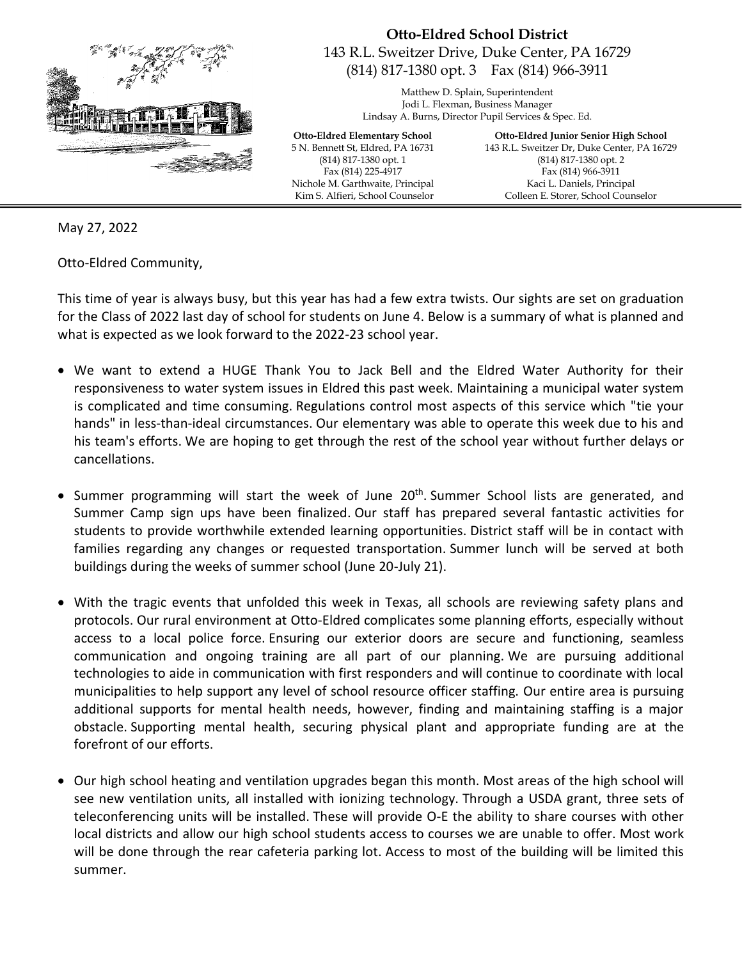

## **Otto-Eldred School District**  143 R.L. Sweitzer Drive, Duke Center, PA 16729 (814) 817-1380 opt. 3 Fax (814) 966-3911

Matthew D. Splain, Superintendent Jodi L. Flexman, Business Manager Lindsay A. Burns, Director Pupil Services & Spec. Ed.

**Otto-Eldred Elementary School** 5 N. Bennett St, Eldred, PA 16731 (814) 817-1380 opt. 1 Fax (814) 225-4917 Nichole M. Garthwaite, Principal Kim S. Alfieri, School Counselor

**Otto-Eldred Junior Senior High School** 143 R.L. Sweitzer Dr, Duke Center, PA 16729 (814) 817-1380 opt. 2 Fax (814) 966-3911 Kaci L. Daniels, Principal Colleen E. Storer, School Counselor

May 27, 2022

Otto-Eldred Community,

This time of year is always busy, but this year has had a few extra twists. Our sights are set on graduation for the Class of 2022 last day of school for students on June 4. Below is a summary of what is planned and what is expected as we look forward to the 2022-23 school year.

- We want to extend a HUGE Thank You to Jack Bell and the Eldred Water Authority for their responsiveness to water system issues in Eldred this past week. Maintaining a municipal water system is complicated and time consuming. Regulations control most aspects of this service which "tie your hands" in less-than-ideal circumstances. Our elementary was able to operate this week due to his and his team's efforts. We are hoping to get through the rest of the school year without further delays or cancellations.
- Summer programming will start the week of June 20<sup>th</sup>. Summer School lists are generated, and Summer Camp sign ups have been finalized. Our staff has prepared several fantastic activities for students to provide worthwhile extended learning opportunities. District staff will be in contact with families regarding any changes or requested transportation. Summer lunch will be served at both buildings during the weeks of summer school (June 20-July 21).
- With the tragic events that unfolded this week in Texas, all schools are reviewing safety plans and protocols. Our rural environment at Otto-Eldred complicates some planning efforts, especially without access to a local police force. Ensuring our exterior doors are secure and functioning, seamless communication and ongoing training are all part of our planning. We are pursuing additional technologies to aide in communication with first responders and will continue to coordinate with local municipalities to help support any level of school resource officer staffing. Our entire area is pursuing additional supports for mental health needs, however, finding and maintaining staffing is a major obstacle. Supporting mental health, securing physical plant and appropriate funding are at the forefront of our efforts.
- Our high school heating and ventilation upgrades began this month. Most areas of the high school will see new ventilation units, all installed with ionizing technology. Through a USDA grant, three sets of teleconferencing units will be installed. These will provide O-E the ability to share courses with other local districts and allow our high school students access to courses we are unable to offer. Most work will be done through the rear cafeteria parking lot. Access to most of the building will be limited this summer.